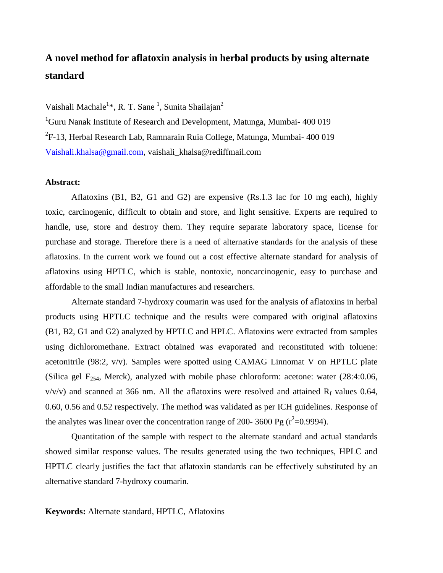## **A novel method for aflatoxin analysis in herbal products by using alternate standard**

Vaishali Machale<sup>1</sup>\*, R. T. Sane<sup>1</sup>, Sunita Shailajan<sup>2</sup>

<sup>1</sup>Guru Nanak Institute of Research and Development, Matunga, Mumbai- 400 019 <sup>2</sup>F-13, Herbal Research Lab, Ramnarain Ruia College, Matunga, Mumbai- 400 019 [Vaishali.khalsa@gmail.com,](mailto:Vaishali.khalsa@gmail.com) vaishali\_khalsa@rediffmail.com

## **Abstract:**

Aflatoxins (B1, B2, G1 and G2) are expensive (Rs.1.3 lac for 10 mg each), highly toxic, carcinogenic, difficult to obtain and store, and light sensitive. Experts are required to handle, use, store and destroy them. They require separate laboratory space, license for purchase and storage. Therefore there is a need of alternative standards for the analysis of these aflatoxins. In the current work we found out a cost effective alternate standard for analysis of aflatoxins using HPTLC, which is stable, nontoxic, noncarcinogenic, easy to purchase and affordable to the small Indian manufactures and researchers.

Alternate standard 7-hydroxy coumarin was used for the analysis of aflatoxins in herbal products using HPTLC technique and the results were compared with original aflatoxins (B1, B2, G1 and G2) analyzed by HPTLC and HPLC. Aflatoxins were extracted from samples using dichloromethane. Extract obtained was evaporated and reconstituted with toluene: acetonitrile (98:2, v/v). Samples were spotted using CAMAG Linnomat V on HPTLC plate (Silica gel  $F_{254}$ , Merck), analyzed with mobile phase chloroform: acetone: water (28:4:0.06,  $v/v/v$ ) and scanned at 366 nm. All the aflatoxins were resolved and attained  $R_f$  values 0.64, 0.60, 0.56 and 0.52 respectively. The method was validated as per ICH guidelines. Response of the analytes was linear over the concentration range of 200- 3600 Pg ( $r^2$ =0.9994).

Quantitation of the sample with respect to the alternate standard and actual standards showed similar response values. The results generated using the two techniques, HPLC and HPTLC clearly justifies the fact that aflatoxin standards can be effectively substituted by an alternative standard 7-hydroxy coumarin.

**Keywords:** Alternate standard, HPTLC, Aflatoxins